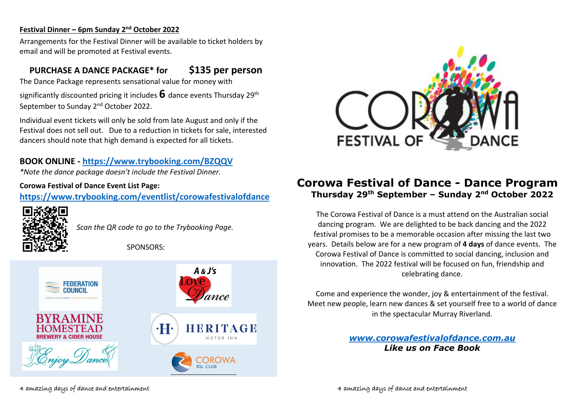#### **Festival Dinner – 6pm Sunday 2n<sup>d</sup> October 2022**

Arrangements for the Festival Dinner will be available to ticket holders by email and will be promoted at Festival events.

## **PURCHASEA DANCE PACKAGE\* for \$135 per person**

The Dance Package represents sensational value for money with significantly discounted pricing it includes **6** dance events Thursday <sup>29</sup>th September to Sunday 2<sup>nd</sup> October 2022.

Individual event tickets will only be sold from late August and only if the Festival does not sell out. Due to <sup>a</sup> reduction in tickets for sale, interested dancers should note that high demand is expected for all tickets.

### **BOOK ONLINE ‐ https://www.trybooking.com/BZQQV**

*\*Note the dance package doesn't include the Festival Dinner.*

#### **Corowa Festival of Dance Event List Page:**

**https://www.trybooking.com/eventlist/corowafestivalofdance**



*Scan the QR code to go to the Trybooking Page.*

SPONSORS:





# **Corowa Festival of Dance - Dance Program Thursday 29th September – Sunday 2nd October 2022**

The Corowa Festival of Dance is <sup>a</sup> must attend on the Australian social dancing program. We are delighted to be back dancing and the 2022 festival promises to be <sup>a</sup> memorable occasion after missing the last two years. Details below are for <sup>a</sup> new program of **4 days** of dance events. The Corowa Festival of Dance is committed to social dancing, inclusion and innovation. The 2022 festival will be focused on fun, friendship and celebrating dance.

Come and experience the wonder, joy & entertainment of the festival. Meet new people, learn new dances & set yourself free to <sup>a</sup> world of dance in the spectacular Murray Riverland.

> *www.corowafestivalofdance.com.au Like us on Face Book*